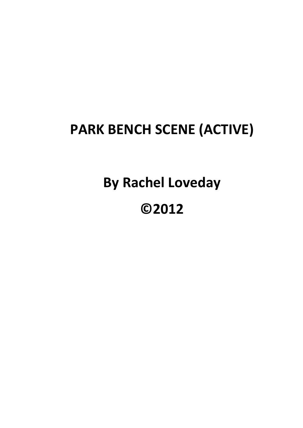## **PARK BENCH SCENE (ACTIVE)**

**By Rachel Loveday**

## **©2012**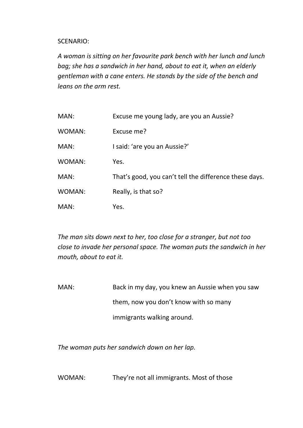## SCENARIO:

*A woman is sitting on her favourite park bench with her lunch and lunch bag; she has a sandwich in her hand, about to eat it, when an elderly gentleman with a cane enters. He stands by the side of the bench and leans on the arm rest.*

| MAN:   | Excuse me young lady, are you an Aussie?               |
|--------|--------------------------------------------------------|
| WOMAN: | Excuse me?                                             |
| MAN:   | I said: 'are you an Aussie?'                           |
| WOMAN: | Yes.                                                   |
| MAN:   | That's good, you can't tell the difference these days. |
| WOMAN: | Really, is that so?                                    |
| MAN:   | Yes.                                                   |

*The man sits down next to her, too close for a stranger, but not too close to invade her personal space. The woman puts the sandwich in her mouth, about to eat it.*

MAN: Back in my day, you knew an Aussie when you saw them, now you don't know with so many immigrants walking around.

*The woman puts her sandwich down on her lap.*

WOMAN: They're not all immigrants. Most of those